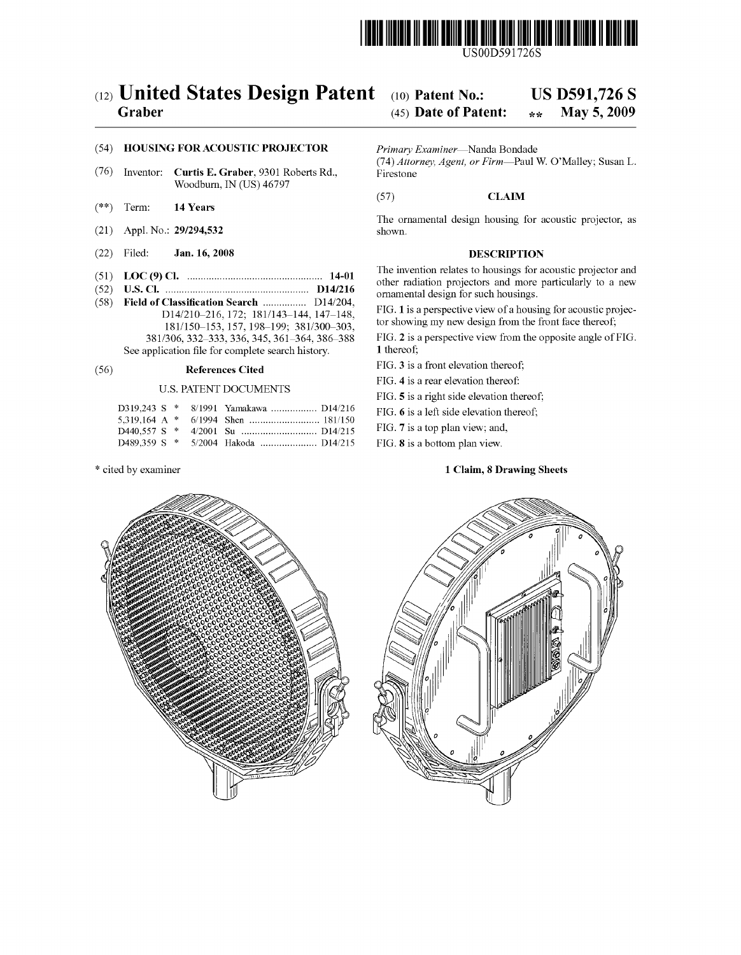

# (12) United States Design Patent (10) Patent No.: US D591,726 S<br>Graber (45) Date of Patent:  $\frac{1}{2}$  May 5, 2009

## (45) Date of Patent:  $\bullet\ast\ast$

## (54) HOUSING FOR ACOUSTIC PROJECTOR Primary Examiner—Nanda Bondade

- (76) Inventor: Curtis E. Graber, 9301 Roberts Rd., Woodburn, IN (US) 46797
- $(**)$  Term: 14 Years
- (21) Appl. No.: 29/294,532
- (22) Filed: Jan. 16, 2008 DESCRIPTION
- 
- (52) D14/216 ornamental design for Such housings. (58) Field of Classification Search ................ D14/204, D14/210 216, 172: 181 (143-144, 147-148 FIG. 1 is a perspective view of a housing for acoustic projec 18.1/150–153, 157, 198–199; 381/300–303, tor showing my new design from the front face thereof;<br>
18.1/150–153, 157, 198–199; 381/300–303, FIG. 2 is a perspective view from the opposite angle of FIG.  $381/306$ ,  $332-333$ ,  $336$ ,  $345$ ,  $361-364$ ,  $386-388$  FIG. 2 is a persumented of FIG. 2 is a person of FIG. 2 is a person of FIG. 2 is a person of FIG. 2 is a person of FIG. 2 is a person of FIG. 2 is a person of FIG. See application file for complete search history.

## (56) References Cited FIG. 3 is a front elevation thereof;<br>FIG. 4 is a rear elevation thereof:

### U.S. PATENT DOCUMENTS

|  |  | D319.243 S * 8/1991 Yamakawa  D14/216 |
|--|--|---------------------------------------|
|  |  |                                       |
|  |  |                                       |
|  |  |                                       |

(74) Attorney, Agent, or Firm-Paul W. O'Malley; Susan L. Firestone

### (57) CLAM

The ornamental design housing for acoustic projector, as

(51) LOC (9) Cl.  $\ldots$   $\ldots$   $\ldots$   $\ldots$   $\ldots$   $\ldots$   $\ldots$   $\ldots$   $\ldots$   $\ldots$   $\ldots$   $\ldots$   $\ldots$   $\ldots$   $\ldots$   $\ldots$   $\ldots$   $\ldots$   $\ldots$   $\ldots$   $\ldots$   $\ldots$   $\ldots$   $\ldots$   $\ldots$   $\ldots$   $\ldots$   $\ldots$   $\ldots$   $\ldots$   $\ldots$   $\ldots$   $\ldots$   $\ldots$  other radiation projectors and more particularly to a new

FIG. 5 is a right side elevation thereof;

FIG. 6 is a left side elevation thereof;

FIG. 7 is a top plan view; and,

FIG. 8 is a bottom plan view.

### \* cited by examiner 1 Claim, 8 Drawing Sheets



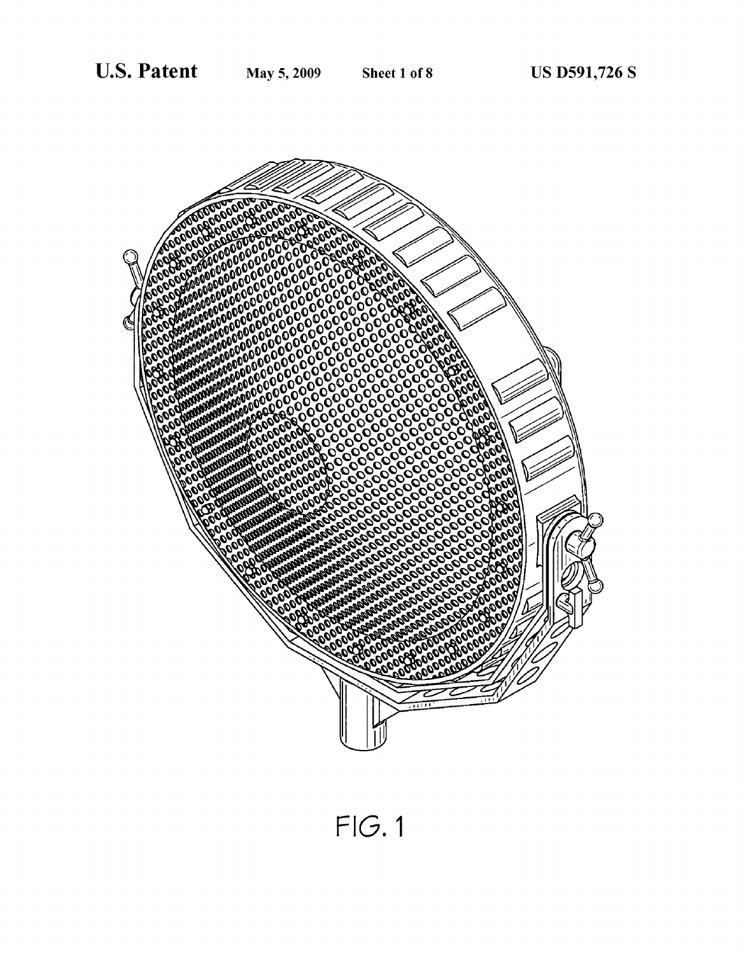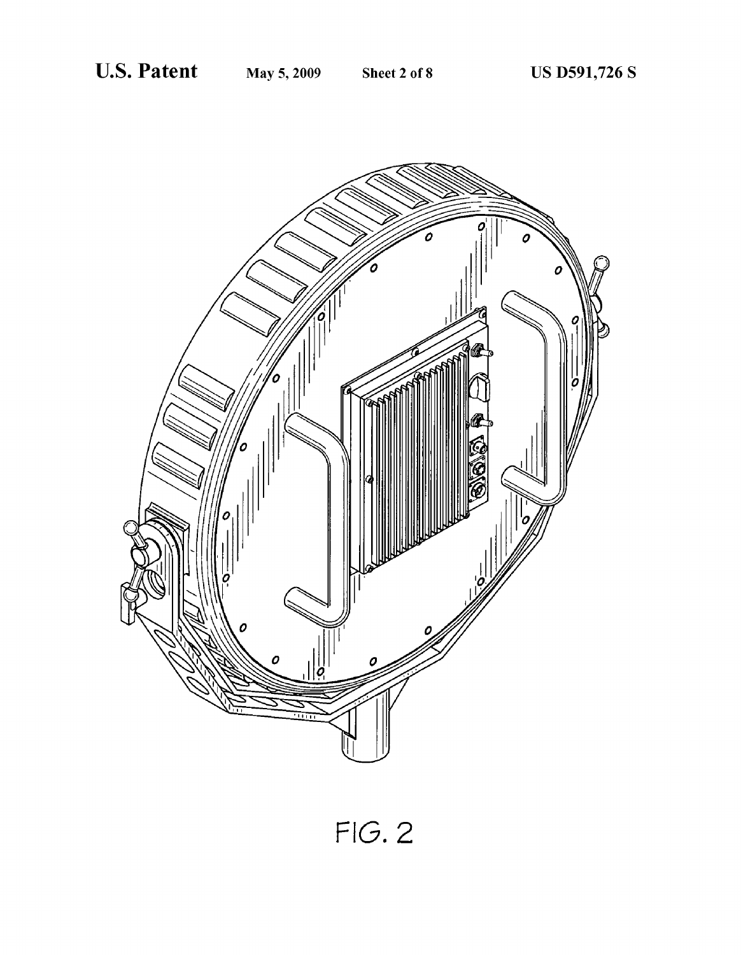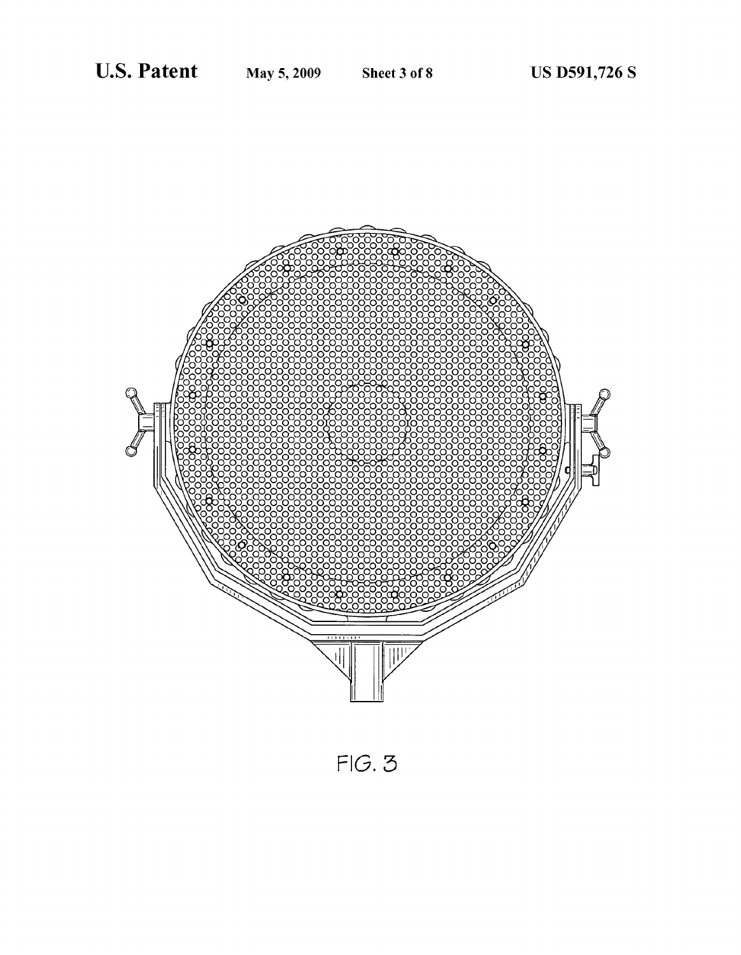

 $FIG. 3$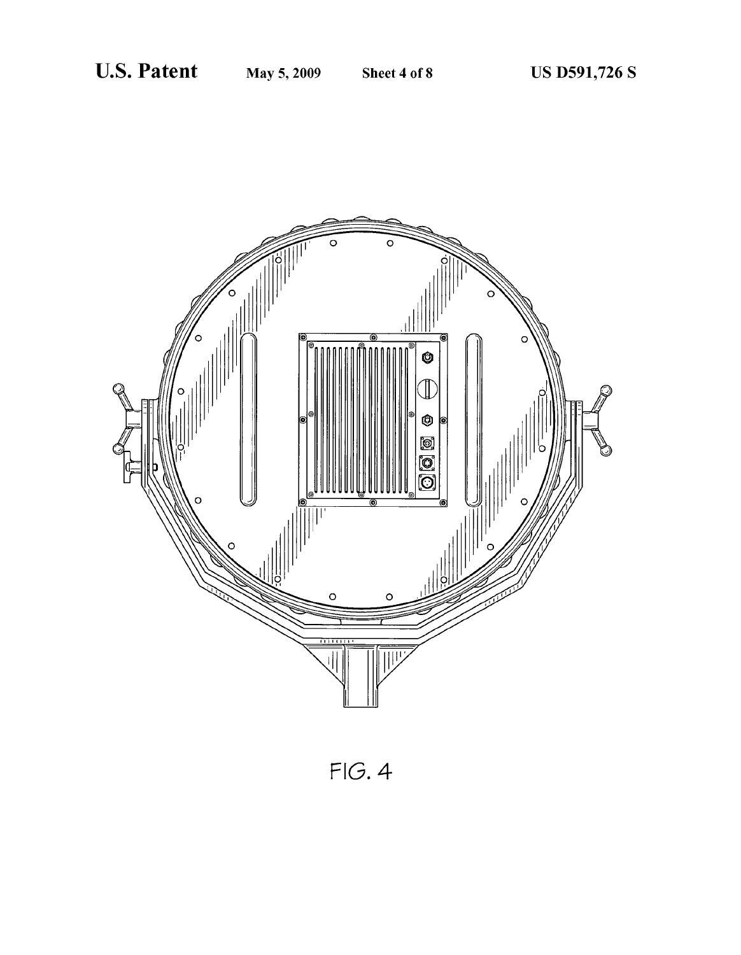

 $FIG. 4$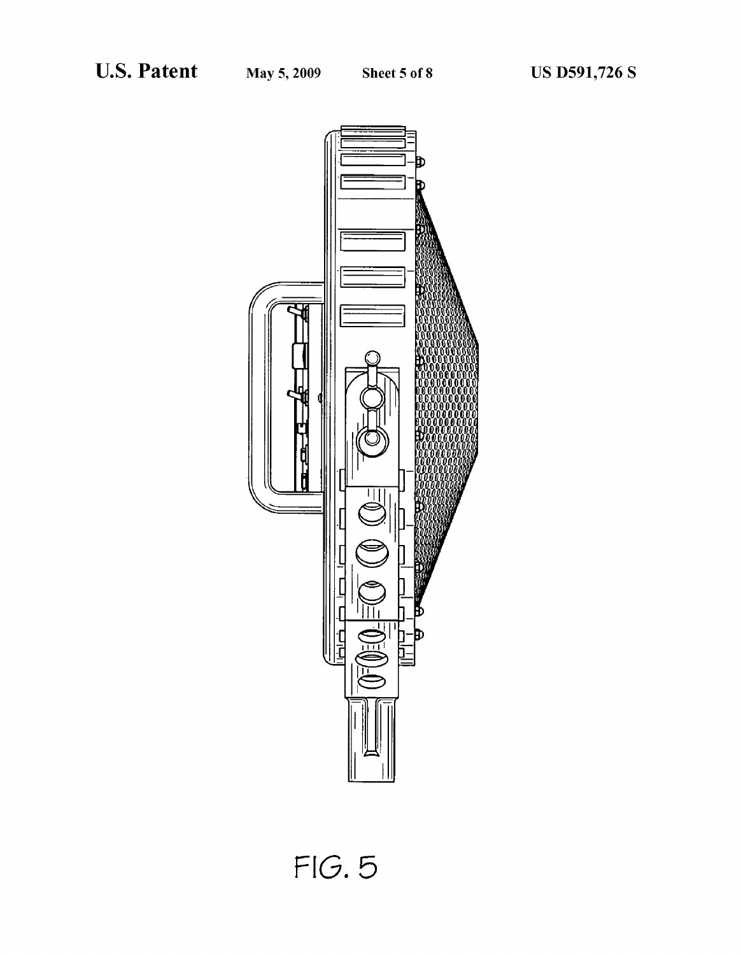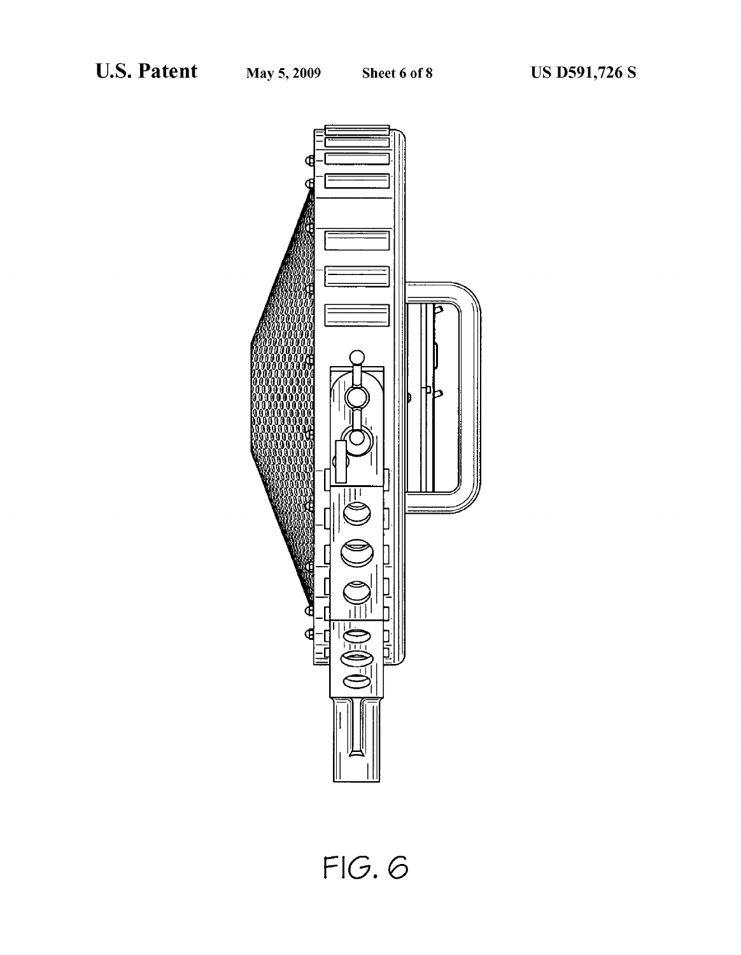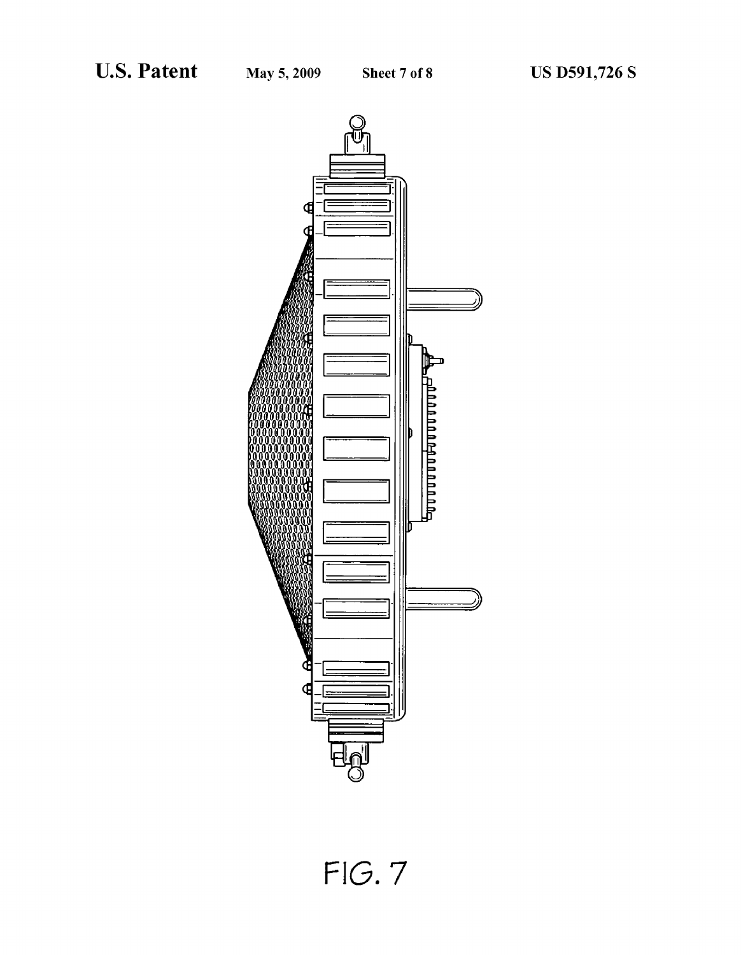